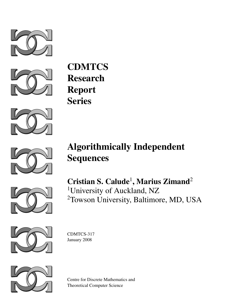



**CDMTCS** Research Report Series



# Algorithmically Independent Sequences



Cristian S. Calude<sup>1</sup>, Marius Zimand<sup>2</sup> <sup>1</sup>University of Auckland, NZ <sup>2</sup>Towson University, Baltimore, MD, USA



CDMTCS-317 January 2008



Centre for Discrete Mathematics and Theoretical Computer Science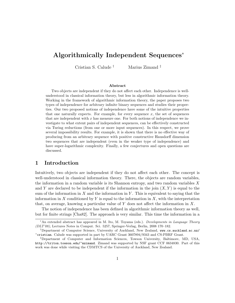# Algorithmically Independent Sequences<sup>∗</sup>

Cristian S. Calude † Marius Zimand ‡

#### Abstract

Two objects are independent if they do not affect each other. Independence is wellunderstood in classical information theory, but less in algorithmic information theory. Working in the framework of algorithmic information theory, the paper proposes two types of independence for arbitrary infinite binary sequences and studies their properties. Our two proposed notions of independence have some of the intuitive properties that one naturally expects. For example, for every sequence  $x$ , the set of sequences that are independent with  $x$  has measure one. For both notions of independence we investigate to what extent pairs of independent sequences, can be effectively constructed via Turing reductions (from one or more input sequences). In this respect, we prove several impossibility results. For example, it is shown that there is no effective way of producing from an arbitrary sequence with positive constructive Hausdorff dimension two sequences that are independent (even in the weaker type of independence) and have super-logarithmic complexity. Finally, a few conjectures and open questions are discussed.

# 1 Introduction

Intuitively, two objects are independent if they do not affect each other. The concept is well-understood in classical information theory. There, the objects are random variables, the information in a random variable is its Shannon entropy, and two random variables  $X$ and Y are declared to be independent if the information in the join  $(X, Y)$  is equal to the sum of the information in  $X$  and the information in  $Y$ . This is equivalent to saying that the information in X conditioned by Y is equal to the information in X, with the interpretation that, on average, knowing a particular value of  $Y$  does not affect the information in  $X$ .

The notion of independence has been defined in algorithmic information theory as well, but for finite strings [Cha82]. The approach is very similar. This time the information in a

<sup>∗</sup>An extended abstract has appeared in M. Ito, M. Toyama (eds.). Developments in Language Theory (DLT'08), Lectures Notes in Comput. Sci. 5257, Springer-Verlag, Berlin, 2008 170–182.

<sup>†</sup>Department of Computer Science, University of Auckland, New Zealand, www.cs.auckland.ac.nz/ ~cristian. Calude was supported in part by UARC Grant 3607894/9343 and CS-PBRF Grant.

<sup>‡</sup>Department of Computer and Information Sciences, Towson University, Baltimore, MD, USA, http://triton.towson.edu/~mzimand. Zimand was supported by NSF grant CCF 0634830. Part of this work was done while visiting the CDMTCS of the University of Auckland, New Zealand.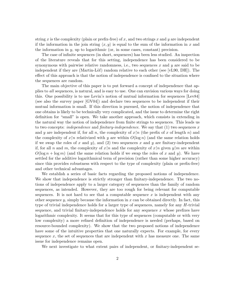string x is the complexity (plain or prefix-free) of x, and two strings x and y are independent if the information in the join string  $\langle x, y \rangle$  is equal to the sum of the information in x and the information in  $y$ , up to logarithmic (or, in some cases, constant) precision.

The case of infinite sequences (in short, sequences) has been less studied. An inspection of the literature reveals that for this setting, independence has been considered to be synonymous with pairwise relative randomness, i.e., two sequences x and y are said to be independent if they are (Martin-Löf) random relative to each other (see  $[vL90, DH]$ ). The effect of this approach is that the notion of independence is confined to the situation where the sequences are random.

The main objective of this paper is to put forward a concept of independence that applies to all sequences, is natural, and is easy to use. One can envision various ways for doing this. One possibility is to use Levin's notion of mutual information for sequences [Lev84] (see also the survey paper [GV04]) and declare two sequences to be independent if their mutual information is small. If this direction is pursued, the notion of independence that one obtains is likely to be technically very complicated, and the issue to determine the right definition for "small" is open. We take another approach, which consists in extending in the natural way the notion of independence from finite strings to sequences. This leads us to two concepts: *independence* and *finitary-independence*. We say that  $(1)$  two sequences x and y are independent if, for all n, the complexity of  $x \upharpoonright n$  (the prefix of x of length n) and the complexity of  $x \upharpoonright n$  relativized with y are within  $O(\log n)$  (and the same relation holds if we swap the roles of x and y), and (2) two sequences x and y are finitary-independent if, for all n and m, the complexity of  $x \nvert n$  and the complexity of  $x \nvert n$  given  $y \nvert m$  are within  $O(\log n + \log m)$  (and the same relation holds if we swap the roles of x and y). We have settled for the additive logarithmical term of precision (rather than some higher accuracy) since this provides robustness with respect to the type of complexity (plain or prefix-free) and other technical advantages.

We establish a series of basic facts regarding the proposed notions of independence. We show that independence is strictly stronger than finitary-independence. The two notions of independence apply to a larger category of sequences than the family of random sequences, as intended. However, they are too rough for being relevant for computable sequences. It is not hard to see that a computable sequence  $x$  is independent with any other sequence y, simply because the information in  $x$  can be obtained directly. In fact, this type of trivial independence holds for a larger type of sequences, namely for any H-trivial sequence, and trivial finitary-independence holds for any sequence  $x$  whose prefixes have logarithmic complexity. It seems that for this type of sequences (computable or with very low complexity) a more refined definition of independence is needed (perhaps, based on resource-bounded complexity). We show that the two proposed notions of independence have some of the intuitive properties that one naturally expects. For example, for every sequence x, the set of sequences that are independent with x has measure one. The same issue for independence remains open.

We next investigate to what extent pairs of independent, or finitary-independent se-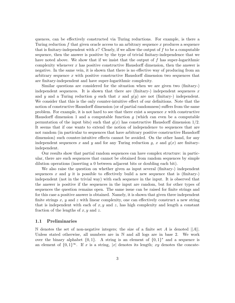quences, can be effectively constructed via Turing reductions. For example, is there a Turing reduction f that given oracle access to an arbitrary sequence x produces a sequence that is finitary-independent with  $x$ ? Clearly, if we allow the output of f to be a computable sequence, then the answer is positive by the type of trivial finitary-independence that we have noted above. We show that if we insist that the output of  $f$  has super-logarithmic complexity whenever  $x$  has positive constructive Hausdorff dimension, then the answer is negative. In the same vein, it is shown that there is no effective way of producing from an arbitrary sequence x with positive constructive Hausdorff dimension two sequences that are finitary-independent and have super-logarithmic complexity.

Similar questions are considered for the situation when we are given two (finitary-) independent sequences. It is shown that there are (finitary-) independent sequences  $x$ and y and a Turing reduction g such that x and  $g(y)$  are not (finitary-) independent. We consider that this is the only counter-intuitive effect of our definitions. Note that the notion of constructive Hausdorff dimension (or of partial randomness) suffers from the same problem. For example, it is not hard to see that there exist a sequence  $x$  with constructive Hausdorff dimension 1 and a computable function  $q$  (which can even be a computable permutation of the input bits) such that  $g(x)$  has constructive Hausdorff dimension  $1/2$ . It seems that if one wants to extend the notion of independence to sequences that are not random (in particular to sequences that have arbitrary positive constructive Hausdorff dimension) such counter-intuitive effects cannot be avoided. On the other hand, for any independent sequences x and y and for any Turing reduction g, x and  $g(x)$  are finitaryindependent.

Our results show that partial random sequences can have complex structure: in particular, there are such sequences that cannot be obtained from random sequences by simple dilution operations (inserting a 0 between adjacent bits or doubling each bit).

We also raise the question on whether given as input several (finitary-) independent sequences x and y it is possible to effectively build a new sequence that is (finitary-) independent (not in the trivial way) with each sequence in the input. It is observed that the answer is positive if the sequences in the input are random, but for other types of sequences the question remains open. The same issue can be raised for finite strings and for this case a positive answer is obtained. Namely, it is shown that given three independent finite strings  $x, y$  and  $z$  with linear complexity, one can effectively construct a new string that is independent with each of  $x, y$  and  $z$ , has high complexity and length a constant fraction of the lengths of  $x, y$  and  $z$ .

## 1.1 Preliminaries

N denotes the set of non-negative integers; the size of a finite set A is denoted  $||A||$ . Unless stated otherwise, all numbers are in  $\mathbb N$  and all logs are in base 2. We work over the binary alphabet  $\{0, 1\}$ . A string is an element of  $\{0, 1\}^*$  and a sequence is an element of  $\{0,1\}^{\infty}$ . If x is a string, |x| denotes its length; xy denotes the concate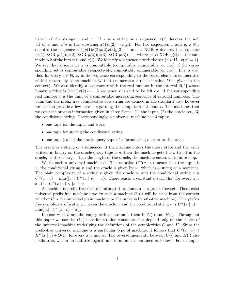nation of the strings x and y. If x is a string or a sequence,  $x(i)$  denotes the *i*-th bit of x and  $x\upharpoonright n$  is the substring  $x(1)x(2)\cdots x(n)$ . For two sequences x and y,  $x \oplus y$ denotes the sequence  $x(1)y(1)x(2)y(2)x(3)y(3)\cdots$  and x XOR y denotes the sequence  $(x(1)$  XOR  $y(1))(x(2)$  XOR  $y(2))(x(3)$  XOR  $y(3))\cdots$ , where  $(x(i)$  XOR  $y(i))$  is the sum modulo 2 of the bits  $x(i)$  and  $y(i)$ . We identify a sequence x with the set  $\{n \in \mathbb{N} \mid x(n) = 1\}$ . We say that a sequence  $x$  is computable (computably enumerable, or c.e.) if the corresponding set is computable (respectively, computably enumerable, or c.e.). If x is c.e., then for every  $s \in \mathbb{N}$ ,  $x_s$  is the sequence corresponding to the set of elements enumerated within s steps by some machine M that enumerates x (the machine M is given in the context). We also identify a sequence x with the real number in the interval  $[0,1]$  whose binary writing is  $0.x(1)x(2)\cdots$ . A sequence x is said to be left c.e. if the corresponding real number  $x$  is the limit of a computable increasing sequence of rational numbers. The plain and the prefix-free complexities of a string are defined in the standard way; however we need to provide a few details regarding the computational models. The machines that we consider process information given in three forms:  $(1)$  the input,  $(2)$  the oracle set,  $(3)$ the conditional string. Correspondingly, a universal machine has 3 tapes:

- one tape for the input and work,
- one tape for storing the conditional string,
- one tape (called the oracle-query tape) for formulating queries to the oracle.

The oracle is a string or a sequence. If the machine enters the query state and the value written in binary on the oracle-query tape is n, then the machine gets the n-th bit in the oracle, or if  $n$  is larger than the length of the oracle, the machine enters an infinite loop.

We fix such a universal machine U. The notation  $U^w(u | v)$  means that the input is u, the conditional string v and the oracle is given by w, which is a string or a sequence. The plain complexity of a string x given the oracle w and the conditional string v is  $C^{w}(x \mid v) = \min\{|u| \mid U^{w}(u \mid v) = x\}.$  There exists a constant c such that for every x, v and w,  $C^{w}(x | v) < |x| + c$ .

A machine is prefix-free (self-delimiting) if its domain is a prefix-free set. There exist universal prefix-free machines; we fix such a machine  $U$  (it will be clear from the context whether  $U$  is the universal plain machine or the universal prefix-free machine). The prefixfree complexity of a string x given the oracle w and the conditional string v is  $H^w(x | v) =$  $\min\{|u| \mid U^w(u \mid v) = x\}.$ 

In case w or v are the empty strings, we omit them in  $C(\cdot)$  and  $H(\cdot)$ . Throughout this paper we use the  $O(\cdot)$  notation to hide constants that depend only on the choice of the universal machine underlying the definitions of the complexities  $C$  and  $H$ . Since the prefix-free universal machine is a particular type of machine, it follows that  $C^w(x | v)$  <  $H^w(x | v) + O(1)$ , for every x, v and w. The reverse inequality between  $C(\cdot)$  and  $H(\cdot)$  also holds true, within an additive logarithmic term, and is obtained as follows. For example,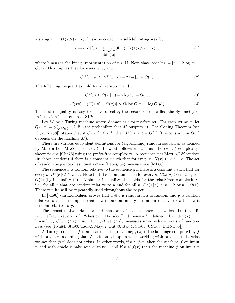a string  $x = x(1)x(2) \cdots x(n)$  can be coded in a self-delimiting way by

$$
x \mapsto \text{code}(x) = \underbrace{11 \cdots 1}_{|\text{bin}(n)|} 0 \text{bin}(n) x(1) x(2) \cdots x(n),
$$
\n(1)

where  $\sin(n)$  is the binary representation of  $n \in \mathbb{N}$ . Note that  $|code(x)| = |x| + 2 \log |x| +$  $O(1)$ . This implies that for every x, v, and w,

$$
C^{w}(x \mid v) > H^{w}(x \mid v) - 2\log|x| - O(1). \tag{2}
$$

The following inequalities hold for all strings  $x$  and  $y$ :

$$
C^{y}(x) \le C(x \mid y) + 2\log|y| + O(1),\tag{3}
$$

$$
|C(xy) - (C(x|y) + C(y))| \le O(\log C(x) + \log C(y)).
$$
\n(4)

The first inequality is easy to derive directly; the second one is called the Symmetry of Information Theorem, see [ZL70].

Let  $M$  be a Turing machine whose domain is a prefix-free set. For each string  $x$ , let  $Q_M(x) = \sum_{p,M(p)=x} 2^{-|p|}$  (the probability that M outputs x). The Coding Theorem (see [C02, Nie08]) states that if  $Q_M(x) \geq 2^{-\ell}$ , then  $H(x) \leq \ell + O(1)$  (the constant in  $O(1)$ ) depends on the machine  $M$ ).

There are various equivalent definitions for (algorithmic) random sequences as defined by Martin-Löf  $[ML66]$  (see  $[CO2]$ ). In what follows we will use the (weak) complexitytheoretic one [Cha75] using the prefix-free complexity: A sequence x is Martin-Löf random (in short, random) if there is a constant c such that for every n,  $H(x\mid n) \geq n - c$ . The set of random sequences has constructive (Lebesgue) measure one [ML66].

The sequence x is random relative to the sequence y if there is a constant c such that for every n,  $H^y(x\upharpoonright n) \geq n-c$ . Note that if x is random, then for every  $n, C(x\upharpoonright n) \geq n-2\log n-c$  $O(1)$  (by inequality (2)). A similar inequality also holds for the relativized complexities, i.e. for all x that are random relative to y and for all  $n$ ,  $C^y(x\mid n) > n - 2\log n - O(1)$ . These results will be repeatedly used throughout the paper.

In [vL90] van Lambalgen proves that  $x \oplus y$  is random iff x is random and y is random relative to x. This implies that if x is random and y is random relative to x then x is random relative to y.

The constructive Hausdorff dimension of a sequence  $x$ —which is the direct effectivization of "classical Hausdorff dimension"—defined by  $\dim(x)$  =  $\liminf_{n\to\infty} C(x\upharpoonright n)/n (= \liminf_{n\to\infty} H(x\upharpoonright n)/n)$ , measures intermediate levels of randomness (see [Rya84, Sta93, Tad02, May02, Lut03, Rei04, Sta05, CST06, DHNT06]).

A Turing reduction f is an oracle Turing machine;  $f(x)$  is the language computed by f with oracle x, assuming that f halts on all inputs when working with oracle x (otherwise we say that  $f(x)$  does not exist). In other words, if  $n \in f(x)$  then the machine f on input n and with oracle x halts and outputs 1 and if  $n \notin f(x)$  then the machine f on input n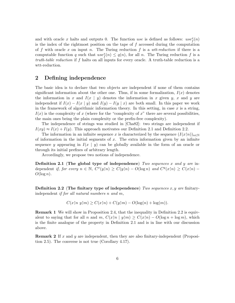and with oracle x halts and outputs 0. The function use is defined as follows:  $use_f^x(n)$ is the index of the rightmost position on the tape of  $f$  accessed during the computation of f with oracle x on input n. The Turing reduction f is a wtt-reduction if there is a computable function q such that  $use_f^x(n) \leq q(n)$ , for all n. The Turing reduction f is a truth-table reduction if f halts on all inputs for every oracle. A truth-table reduction is a wtt-reduction.

# 2 Defining independence

The basic idea is to declare that two objects are independent if none of them contains significant information about the other one. Thus, if in some formalization,  $I(x)$  denotes the information in x and  $I(x | y)$  denotes the information in x given y, x and y are independent if  $I(x) - I(x | y)$  and  $I(y) - I(y | x)$  are both small. In this paper we work in the framework of algorithmic information theory. In this setting, in case  $x$  is a string,  $I(x)$  is the complexity of x (where for the "complexity of x" there are several possibilities, the main ones being the plain complexity or the prefix-free complexity).

The independence of strings was studied in [Cha82]: two strings are independent if  $I(xy) \approx I(x) + I(y)$ . This approach motivates our Definition 2.1 and Definition 2.2.

The information in an infinite sequence x is characterized by the sequence  $(I(x[n))_{n\in\mathbb{N}}$ of information in the initial segments of  $x$ . The extra information given by an infinite sequence y appearing in  $I(x | y)$  can be globally available in the form of an oracle or through its initial prefixes of arbitrary length.

Accordingly, we propose two notions of independence.

Definition 2.1 (The global type of independence) Two sequences x and y are independent if, for every  $n \in \mathbb{N}$ ,  $C^x(y[n) \ge C(y[n) - O(\log n)$  and  $C^y(x[n) \ge C(x[n) - O(\log n))$  $O(\log n)$ .

Definition 2.2 (The finitary type of independence) Two sequences  $x, y$  are finitaryindependent if for all natural numbers n and m,

$$
C(x \upharpoonright n \ y \upharpoonright m) \ge C(x \upharpoonright n) + C(y \upharpoonright m) - O(\log(n) + \log(m)).
$$

Remark 1 We will show in Proposition 2.4, that the inequality in Definition 2.2 is equivalent to saying that for all n and m,  $C(x[n | y|m) \geq C(x[n) - O(\log n + \log m))$ , which is the finite analogue of the property in Definition 2.1 and is in line with our discussion above.

**Remark 2** If x and y are independent, then they are also finitary-independent (Proposition 2.5). The converse is not true (Corollary 4.17).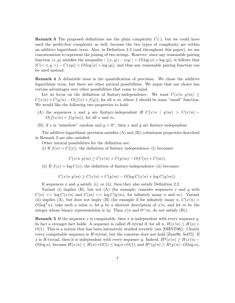**Remark 3** The proposed definitions use the plain complexity  $C(\cdot)$ , but we could have used the prefix-free complexity as well, because the two types of complexity are within an additive logarithmic term. Also, in Definition 2.2 (and throughout this paper), we use concatenation to represent the joining of two strings. However, since any reasonable pairing function  $\langle x, y \rangle$  satisfies the inequality  $| \langle x, y \rangle | - |xy| | < O(\log |x| + \log |y|)$ , it follows that  $|C(*x*, *y*) - C(*xy*)| < O(\log |x| + \log |y|)$ , and thus any reasonable pairing function can be used instead.

Remark 4 A debatable issue is the quantification of precision. We chose the additive logarithmic term, but there are other natural possibilities. We argue that our choice has certain advantages over other possibilities that come to mind.

Let us focus on the definition of finitary-independence. We want  $C(x \mid n \ y \mid m) \geq$  $C(x\upharpoonright n) + C(y\upharpoonright n) - O(f(x) + f(y))$ , for all n, m, where f should be some "small" function. We would like the following two properties to hold:

- (A) the sequences x and y are finitary-independent iff  $C(x\mid n \mid y\mid m) > C(x\mid n)$   $O(f(x\upharpoonright n) + f(y\upharpoonright m)$ , for all n and m,
- (B) if x is "somehow" random and  $y = 0^{\omega}$ , then x and y are finitary-independent.

The additive logarithmic precision satisfies (A) and (B); robustness properties described in Remark 3 are also satisfied.

Other natural possibilities for the definition are:

(i) If  $f(x) = C(|x|)$ , the definition of finitary independence–(i) becomes:

$$
C(x \upharpoonright n \ y \upharpoonright m) \ge C(x \upharpoonright n) + C(y \upharpoonright m) - O(C(n) + C(m)).
$$

(ii) If  $f(x) = \log C(x)$ , the definition of finitary-independence–(ii) becomes:

$$
C(x \upharpoonright n y \upharpoonright m) \ge C(x \upharpoonright n) + C(y \upharpoonright m) - O(\log C(x \upharpoonright n) + \log C(y \upharpoonright m)).
$$

If sequences x and y satisfy (i), or (ii), then they also satisfy Definition 2.2.

Variant (i) implies (B), but not (A) (for example, consider sequences x and y with  $C(n) \ll \log C(x \mid n)$  and  $C(m) \ll \log C(y \mid m)$ , for infinitely many n and m). Variant (ii) implies (A), but does not imply (B) (for example if for infinitely many n,  $C(x\upharpoonright n)$  =  $O(\log^3 n)$ ; take such a value n, let p be a shortest description of  $x \nmid n$ , and let m be the integer whose binary representation is 1p. Then  $x \upharpoonright n$  and  $0^{\omega} \upharpoonright m$ , do not satisfy (B)).

**Remark 5** If the sequence x is computable, then x is independent with every sequence y. In fact a stronger fact holds. A sequence is called H-trivial if, for all  $n, H(x\mid n) \leq H(n) +$  $O(1)$ . This is a notion that has been intensively studied recently (see [DHNT06]). Clearly every computable sequence is  $H$ -trivial, but the converse does not hold [Zam90, Sol75]. If x is H-trivial, then it is independent with every sequence y. Indeed,  $H^y(x \nvert n) \ge H(x \nvert n) O(\log n)$ , because  $H(x \upharpoonright n) \leq H(n) + O(1) \leq \log n + O(1)$ , and  $H^x(y \upharpoonright n) \geq H(y \upharpoonright n) - O(\log n)$ ,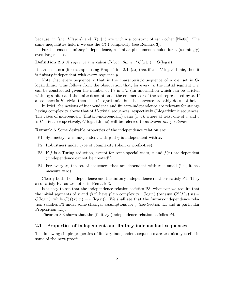because, in fact,  $H^x(y\upharpoonright n)$  and  $H(y\upharpoonright n)$  are within a constant of each other [Nie05]. The same inequalities hold if we use the  $C(\cdot)$  complexity (see Remark 3).

For the case of finitary-independence, a similar phenomenon holds for a (seemingly) even larger class.

**Definition 2.3** A sequence x is called C-logarithmic if  $C(x \mid n) = O(\log n)$ .

It can be shown (for example using Proposition 2.4, (a)) that if x is C-logarithmic, then it is finitary-independent with every sequence y.

Note that every sequence x that is the characteristic sequence of a c.e. set is  $C$ logarithmic. This follows from the observation that, for every n, the initial segment  $x\upharpoonright n$ can be constructed given the number of 1's in  $x \nvert n$  (an information which can be written with  $\log n$  bits) and the finite description of the enumerator of the set represented by x. If a sequence is H-trivial then it is C-logarithmic, but the converse probably does not hold.

In brief, the notions of independence and finitary-independence are relevant for strings having complexity above that of H-trivial sequences, respectively C-logarithmic sequences. The cases of independent (finitary-independent) pairs  $(x, y)$ , where at least one of x and y is H-trivial (respectively, C-logarithmic) will be referred to as trivial independence.

Remark 6 Some desirable properties of the independence relation are:

- P1. Symmetry: x is independent with y iff y is independent with x.
- P2. Robustness under type of complexity (plain or prefix-free).
- P3. If f is a Turing reduction, except for some special cases, x and  $f(x)$  are dependent ("independence cannot be created").
- P4. For every x, the set of sequences that are dependent with x is small (i.e., it has measure zero).

Clearly both the independence and the finitary-independence relations satisfy P1. They also satisfy P2, as we noted in Remark 3.

It is easy to see that the independence relation satisfies P3, whenever we require that the initial segments of x and  $f(x)$  have plain complexity  $\omega(\log n)$  (because  $C^x(f(x))$ ) =  $O(\log n)$ , while  $C(f(x)[n]) = \omega(\log n)$ . We shall see that the finitary-independence relation satisfies P3 under some stronger assumptions for  $f$  (see Section 4.1 and in particular Proposition 4.1).

Theorem 3.3 shows that the (finitary-)independence relation satisfies P4.

## 2.1 Properties of independent and finitary-independent sequences

The following simple properties of finitary-independent sequences are technically useful in some of the next proofs.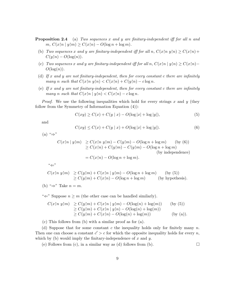**Proposition 2.4** (a) Two sequences x and y are finitary-independent iff for all n and  $m, C(x\lfloor n \rfloor y\lfloor m) \geq C(x\lfloor n \rfloor - O(\log n + \log m)).$ 

- (b) Two sequences x and y are finitary-independent iff for all n,  $C(x \upharpoonright y \upharpoonright n) \geq C(x \upharpoonright n) +$  $C(y\upharpoonright n) - O(\log(n)).$
- (c) Two sequences x and y are finitary-independent iff for all n,  $C(x\lfloor n \rfloor y\lfloor n) \geq C(x\lfloor n \rfloor-1)$  $O(\log(n)).$
- (d) If x and y are not finitary-independent, then for every constant c there are infinitely many n such that  $C(x \mid n \ y \mid n) < C(x \mid n) + C(y \mid n) - c \log n$ .
- (e) If x and y are not finitary-independent, then for every constant c there are infinitely many n such that  $C(x\lfloor n \rfloor y\lfloor n) < C(x\lfloor n \rfloor - c \log n)$ .

*Proof.* We use the following inequalities which hold for every strings x and y (they follow from the Symmetry of Information Equation (4)):

$$
C(xy) \ge C(x) + C(y | x) - O(\log |x| + \log |y|),\tag{5}
$$

and

$$
C(xy) \le C(x) + C(y | x) + O(\log |x| + \log |y|). \tag{6}
$$

 $(a)$  "⇒"

$$
C(x \upharpoonright n \mid y \upharpoonright m) \ge C(x \upharpoonright n \mid y \upharpoonright m) - C(y \upharpoonright m) - O(\log n + \log m)
$$
 (by (6))  
\n
$$
\ge C(x \upharpoonright n) + C(y \upharpoonright m) - C(y \upharpoonright m) - O(\log n + \log m)
$$
  
\n(by independence)  
\n
$$
= C(x \upharpoonright n) - O(\log n + \log m).
$$

"⇐"

$$
C(x \upharpoonright n \ y \upharpoonright m) \geq C(y \upharpoonright m) + C(x \upharpoonright n \mid y \upharpoonright m) - O(\log n + \log m)
$$
 (by (5))  
\n
$$
\geq C(y \upharpoonright m) + C(x \upharpoonright n) - O(\log n + \log m)
$$
 (by hypothesis).

(b) " $\Rightarrow$ " Take  $n = m$ .

" $\Leftarrow$ " Suppose  $n > m$  (the other case can be handled similarly).

$$
C(x \mid n \ y \mid m) \geq C(y \mid m) + C(x \mid n \mid y \mid m) - O(\log(n) + \log(m)) \qquad \text{(by (5))}
$$
  
\n
$$
\geq C(y \mid m) + C(x \mid n \mid y \mid n) - O(\log(n) + \log(m))
$$
  
\n
$$
\geq C(y \mid m) + C(x \mid n) - O(\log(n) + \log(m)) \qquad \text{(by (a))}.
$$

(c) This follows from (b) with a similar proof as for (a).

(d) Suppose that for some constant c the inequality holds only for finitely many  $n$ . Then one can choose a constant  $c' > c$  for which the opposite inequality holds for every n, which by (b) would imply the finitary-independence of  $x$  and  $y$ .

(e) Follows from (c), in a similar way as (d) follows from (b).  $\Box$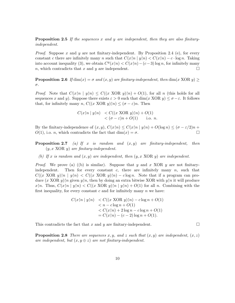**Proposition 2.5** If the sequences x and y are independent, then they are also finitaryindependent.

*Proof.* Suppose x and y are not finitary-independent. By Proposition 2.4 (e), for every constant c there are infinitely many n such that  $C(x \nmid y \mid n) < C(x \mid n) - c \cdot \log n$ . Taking into account inequality (3), we obtain  $C^y(x\upharpoonright n) < C(x\upharpoonright n) - (c-3) \log n$ , for infinitely many n, which contradicts that x and y are independent.  $\square$ 

**Proposition 2.6** If  $\dim(x) = \sigma$  and  $(x, y)$  are finitary-independent, then  $\dim(x \text{ XOR } y) \geq$ σ.

*Proof.* Note that  $C(x|n | y|n) \leq C((x \text{ XOR } y)|n) + O(1)$ , for all n (this holds for all sequences x and y). Suppose there exists  $\varepsilon > 0$  such that  $\dim(x \text{ XOR } y) \leq \sigma - \varepsilon$ . It follows that, for infinitely many n,  $C((x \text{ XOR } y) | n) \leq (\sigma - \varepsilon) n$ . Then

$$
C(x \upharpoonright n \mid y \upharpoonright n) < C((x \text{ XOR } y) \upharpoonright n) + O(1) \\
< (\sigma - \varepsilon)n + O(1) \quad \text{i.o. } n.
$$

By the finitary-independence of  $(x, y)$ ,  $C(x \nvert n) \leq C(x \nvert n | y \nvert n) + O(\log n) \leq (\sigma - \varepsilon/2)n +$  $O(1)$ , i.o. *n*, which contradicts the fact that  $dim(x) = \sigma$ .

**Proposition 2.7** (a) If x is random and  $(x, y)$  are finitary-independent, then  $(y, x \text{ XOR } y)$  are finitary-independent.

(b) If x is random and  $(x, y)$  are independent, then  $(y, x \text{ XOR } y)$  are independent.

*Proof.* We prove (a) ((b) is similar). Suppose that y and x XOR y are not finitaryindependent. Then for every constant c, there are infinitely many  $n$ , such that  $C((x \text{ XOR } y)[n] \mid y[n] \leq C((x \text{ XOR } y)[n] - c \log n$ . Note that if a program can produce  $(x \text{ XOR } y)$  *n* given  $y \upharpoonright n$ , then by doing an extra bitwise XOR with  $y \upharpoonright n$  it will produce x[n. Thus,  $C(x[n | y[n] < C((x \text{ XOR } y)[n | y[n] + O(1)]$  for all n. Combining with the first inequality, for every constant  $c$  and for infinitely many  $n$  we have:

$$
C(x \mid n \mid y \mid n) < C((x \text{ XOR } y) \mid n) - c \log n + O(1)
$$
  

$$
< n - c \log n + O(1)
$$
  

$$
< C(x \mid n) + 2 \log n - c \log n + O(1)
$$
  

$$
= C(x \mid n) - (c - 2) \log n + O(1).
$$

This contradicts the fact that x and y are finitary-independent.  $\square$ 

**Proposition 2.8** There are sequences x, y, and z such that  $(x, y)$  are independent,  $(x, z)$ are independent, but  $(x, y \oplus z)$  are not finitary-independent.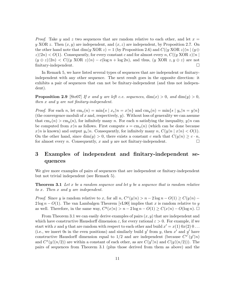*Proof.* Take y and z two sequences that are random relative to each other, and let  $x =$ y XOR z. Then  $(x, y)$  are independent, and  $(x, z)$  are independent, by Proposition 2.7. On the other hand note that dim(y XOR  $z$ ) = 1 (by Proposition 2.6) and  $C((y \text{ XOR } z)[n]$  ( $y \oplus$  $|z| \geq 2n$  <  $O(1)$ . Consequently, for every constant c and for almost every n,  $C((y \text{ XOR } z) \mid n)$  $(y \oplus z)(2n) < C((y \text{ XOR } z)(n) - c(\log n + \log 2n))$ , and thus,  $(y \text{ XOR } z, y \oplus z)$  are not finitary-independent.

In Remark 5, we have listed several types of sequences that are independent or finitaryindependent with any other sequence. The next result goes in the opposite direction: it exhibits a pair of sequences that can not be finitary-independent (and thus not independent).

**Proposition 2.9** [Ste07] If x and y are left c.e. sequences,  $dim(x) > 0$ , and  $dim(y) > 0$ , then x and y are not finitary-independent.

*Proof.* For each n, let  $cm_x(n) = min\{s \mid x_s \in [n] \text{ and } cm_y(n) = min\{s \mid y_s \in [n] \text{ and } m_z(n) = min\}$ (the convergence moduli of x and, respectively,  $y$ ). Without loss of generality we can assume that  $cm_x(n) > cm_y(n)$ , for infinitely many n. For each n satisfying the inequality,  $y \nmid n$  can be computed from  $x \mid n$  as follows. First compute  $s = \text{cm}_x(n)$  (which can be done because  $x \nvert n$  is known) and output  $y_s \nvert n$ . Consequently, for infinitely many  $n, C(y \nvert n \mid x \nvert n) < O(1)$ . On the other hand, since  $\dim(y) > 0$ , there exists a constant c such that  $C(y[n]) \geq c \cdot n$ , for almost every *n*. Consequently, *x* and *y* are not finitary-independent.

# 3 Examples of independent and finitary-independent sequences

We give more examples of pairs of sequences that are independent or finitary-independent but not trivial independent (see Remark 5).

**Theorem 3.1** Let x be a random sequence and let y be a sequence that is random relative to x. Then x and y are independent.

*Proof.* Since y is random relative to x, for all  $n, C^x(y\upharpoonright n) > n - 2\log n - O(1) \ge C(y\upharpoonright n)$  $2 \log n - O(1)$ . The van Lambalgen Theorem [vL90] implies that x is random relative to y as well. Therefore, in the same way,  $C^y(x\upharpoonright n) > n - 2\log n - O(1) \ge C(x\upharpoonright n) - O(\log n)$ .  $\Box$ 

From Theorem 3.1 we can easily derive examples of pairs  $(x, y)$  that are independent and which have constructive Hausdorff dimension  $\varepsilon$ , for every rational  $\varepsilon > 0$ . For example, if we start with x and y that are random with respect to each other and build  $x' = x(1) 0x(2) 0...$ (i.e., we insert 0s in the even positions) and similarly build  $y'$  from y, then  $x'$  and  $y'$  have constructive Hausdorff dimension equal to  $1/2$  and are independent (because  $C^{x'}(y'|n)$ and  $C^{x}(y)(n/2)$  are within a constant of each other, as are  $C(y'|n)$  and  $C(y(n/2))$ . The pairs of sequences from Theorem 3.1 (plus those derived from them as above) and the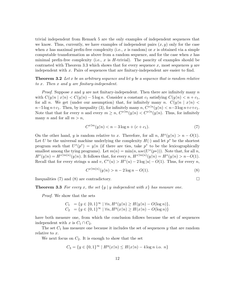trivial independent from Remark 5 are the only examples of independent sequences that we know. Thus, currently, we have examples of independent pairs  $(x, y)$  only for the case when x has maximal prefix-free complexity (i.e., x is random) or x is obtained via a simple computable transformation as above from a random sequence, and for the case when  $x$  has minimal prefix-free complexity (i.e.,  $x$  is  $H$ -trivial). The paucity of examples should be contrasted with Theorem 3.3 which shows that for every sequence  $x$ , most sequences  $y$  are independent with  $x$ . Pairs of sequences that are finitary-independent are easier to find.

**Theorem 3.2** Let x be an arbitrary sequence and let y be a sequence that is random relative to x. Then x and y are finitary-independent.

*Proof.* Suppose x and y are not finitary-independent. Then there are infinitely many  $n$ with  $C(y \nvert n \mid x \nvert n) < C(y \nvert n) - 5 \log n$ . Consider a constant  $c_1$  satisfying  $C(y \nvert n) < n + c_1$ , for all n. We get (under our assumption) that, for infinitely many n.  $C(y[n | x]_n)$  $n-5\log n+c_1$ . Then, by inequality (3), for infinitely many  $n, C^{x\restriction n}(y\restriction n) < n-3\log n+c+c_1$ . Note that that for every n and every  $m \ge n$ ,  $C^{x \upharpoonright m}(y \upharpoonright n) < C^{x \upharpoonright n}(y \upharpoonright n)$ . Thus, for infinitely many n and for all  $m > n$ ,

$$
C^{x \upharpoonright m}(y \upharpoonright n) < n - 3\log n + (c + c_1). \tag{7}
$$

On the other hand, y is random relative to x. Therefore, for all n,  $H^x(y\vert n) > n - O(1)$ . Let U be the universal machine underlying the complexity  $H(\cdot)$  and let  $p^*$  be the shortest program such that  $U^x(p^*) = y[n]$  (if there are ties, take  $p^*$  to be the lexicographically smallest among the tying programs). Let  $m(n) = \min(n, use(U^x(p*))$ . Note that, for all n,  $H^x(y[n) = H^{x[m(n)}(y[n])$ . It follows that, for every  $n, H^{x[m(n)}(y[n]) = H^x(y[n) > n-O(1)$ . Recall that for every strings u and v,  $C^v(u) > H^v(u) - 2 \log |u| - O(1)$ . Thus, for every n,

$$
C^{x \upharpoonright m(n)}(y \upharpoonright n) > n - 2\log n - O(1). \tag{8}
$$

Inequalities (7) and (8) are contradictory.  $\Box$ 

**Theorem 3.3** For every x, the set  $\{y \mid y \text{ independent with } x\}$  has measure one.

Proof. We show that the sets

$$
C_1 = \{ y \in \{0, 1\}^{\infty} \mid \forall n, H^x(y \mid n) \ge H(y \mid n) - O(\log n) \},
$$
  
\n
$$
C_2 = \{ y \in \{0, 1\}^{\infty} \mid \forall n, H^y(x \mid n) \ge H(x \mid n) - O(\log n) \}
$$

have both measure one, from which the conclusion follows because the set of sequences independent with x is  $C_1 \cap C_2$ .

The set  $C_1$  has measure one because it includes the set of sequences  $y$  that are random relative to x.

We next focus on  $C_2$ . It is enough to show that the set

 $x \rightarrow \infty$ 

$$
C_3 = \{ y \in \{0, 1\}^\infty \mid H^y(x \restriction n) \le H(x \restriction n) - 4 \log n \text{ i.o. } n \}
$$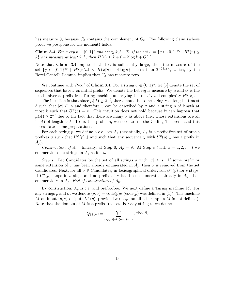has measure 0, because  $C_3$  contains the complement of  $C_2$ . The following claim (whose proof we postpone for the moment) holds:

**Claim 3.4** For every  $v \in \{0,1\}^*$  and every  $k, \ell \in \mathbb{N}$ , if the set  $A = \{y \in \{0,1\}^\infty \mid H^y(v) \leq \ell\}$ k} has measure at least  $2^{-\ell}$ , then  $H(v) \leq k + \ell + 2 \log k + O(1)$ .

Note that Claim 3.4 implies that if  $n$  is sufficiently large, then the measure of the set  $\{y \in \{0,1\}^{\infty} \mid H^y(x \mid n) < H(x \mid n) - 4 \log n\}$  is less than  $2^{-2 \log n}$ , which, by the Borel-Cantelli Lemma, implies that  $C_3$  has measure zero.

We continue with *Proof* of **Claim** 3.4. For a string  $\sigma \in \{0,1\}^*$ , let  $[\sigma]$  denote the set of sequences that have  $\sigma$  as initial prefix. We denote the Lebesgue measure by  $\mu$  and U is the fixed universal prefix-free Turing machine underlying the relativized complexity  $H^y(v)$ .

The intuition is that since  $\mu(A) \geq 2^{-\ell}$ , there should be some string  $\sigma$  of length at most  $\ell$  such that  $[\sigma] \subseteq A$  and therefore v can be described by  $\sigma$  and a string p of length at most k such that  $U^{\sigma}(p) = v$ . This intuition does not hold because it can happen that  $\mu(A) \geq 2^{-\ell}$  due to the fact that there are many  $\sigma$  as above (i.e., whose extensions are all in A) of length  $\geq \ell$ . To fix this problem, we need to use the Coding Theorem, and this necessitates some preparations.

For each string p, we define a c.e. set  $A_p$  (essentially,  $A_p$  is a prefix-free set of oracle prefixes  $\sigma$  such that  $U^{\sigma}(p) \downarrow$  and such that any sequence y with  $U^y(p) \downarrow$  has a prefix in  $(A_p)$ .

Construction of  $A_p$ . Initially, at Step 0,  $A_p = \emptyset$ . At Step s (with  $s = 1, 2, \ldots$  ) we enumerate some strings in  $A_p$  as follows:

Step s. Let Candidates be the set of all strings  $\sigma$  with  $|\sigma| \leq s$ . If some prefix or some extension of  $\sigma$  has been already enumerated in  $A_p$ , then  $\sigma$  is removed from the set Candidates. Next, for all  $\sigma \in$  Candidates, in lexicographical order, run  $U^{\sigma}(p)$  for s steps. If  $U^{\sigma}(p)$  stops in s steps and no prefix of  $\sigma$  has been enumerated already in  $A_p$ , then enumerate  $\sigma$  in  $A_p$ . End of construction of  $A_p$ .

By construction,  $A_p$  is c.e. and prefix-free. We next define a Turing machine M. For any strings p and  $\sigma$ , we denote  $\langle p, \sigma \rangle = \text{code}(p)\sigma \ (\text{code}(p)$  was defined in (1)). The machine M on input  $\langle p, \sigma \rangle$  outputs  $U^{\sigma}(p)$ , provided  $\sigma \in A_p$  (on all other inputs M is not defined). Note that the domain of  $M$  is a prefix-free set. For any string  $v$ , we define

$$
Q_M(v) = \sum_{\{\langle p,\sigma\rangle | M(\langle p,\sigma\rangle) = v\}} 2^{-|\langle p,\sigma\rangle|}.
$$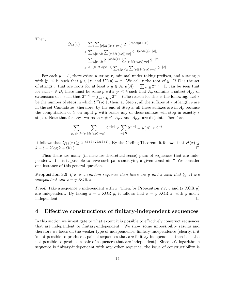Then,

$$
Q_M(v) = \sum_{p} \sum_{\{\sigma | M(\langle p,\sigma\rangle) = v\}} 2^{-(|\text{code}(p)+|\sigma|)}
$$
  
\n
$$
\geq \sum_{p,|p| \leq k} \sum_{\{\sigma | M(\langle p,\sigma\rangle) = v\}} 2^{-(|\text{code}(p)+|\sigma|)}
$$
  
\n
$$
= \sum_{p,|p| \leq k} 2^{-|\text{code}(p)|} \sum_{\{\sigma | M(\langle p,\sigma\rangle) = v\}} 2^{-|\sigma|}
$$
  
\n
$$
\geq 2^{-(k+2\log k+1)} \sum_{p,|p| \leq k} \sum_{\{\sigma | M(\langle p,\sigma\rangle) = v\}} 2^{-|\sigma|}
$$

.

For each  $y \in A$ , there exists a string  $\tau$ , minimal under taking prefixes, and a string p with  $|p| \leq k$ , such that  $y \in [\tau]$  and  $U^{\tau}(p) = x$ . We call  $\tau$  the root of y. If B is the set of strings  $\tau$  that are roots for at least a  $y \in A$ ,  $\mu(A) = \sum_{\tau \in B} 2^{-|\tau|}$ . It can be seen that for each  $\tau \in B$ , there must be some p with  $|p| \leq k$  such that  $A_p$  contains a subset  $A_{p,\tau}$  of extensions of  $\tau$  such that  $2^{-|\tau|} = \sum_{\sigma \in A_{p,\tau}} 2^{-|\sigma|}$  (The reason for this is the following: Let s be the number of steps in which  $U^{\tau}(p) \downarrow$ ; then, at Step s, all the suffixes of  $\tau$  of length s are in the set Candidates; therefore, by the end of Step s, all these suffixes are in  $A_p$  because the computation of U on input  $p$  with oracle any of these suffixes will stop in exactly  $s$ steps). Note that for any two roots  $\tau \neq \tau'$ ,  $A_{p,\tau}$  and  $A_{p,\tau'}$  are disjoint. Therefore,

$$
\sum_{p,|p|\leq k}\sum_{\{\sigma|M(\langle p,\sigma\rangle)=x\}}2^{-|\sigma|}\geq \sum_{\tau\in B}2^{-|\tau|}=\mu(A)\geq 2^{-\ell}.
$$

It follows that  $Q_M(x) \geq 2^{-(k+\ell+2\log k+1)}$ . By the Coding Theorem, it follows that  $H(x) \leq$  $k + \ell + 2 \log k + O(1).$ 

Thus there are many (in measure-theoretical sense) pairs of sequences that are independent. But is it possible to have such pairs satisfying a given constraint? We consider one instance of this general question.

**Proposition 3.5** If x is a random sequence then there are y and z such that  $(y, z)$  are independent and  $x = y$  XOR z.

*Proof.* Take a sequence y independent with x. Then, by Proposition 2.7, y and  $(x \text{ XOR } y)$ are independent. By taking  $z = x$  XOR y, it follows that  $x = y$  XOR z, with y and z independent.

## 4 Effective constructions of finitary-independent sequences

In this section we investigate to what extent it is possible to effectively construct sequences that are independent or finitary-independent. We show some impossibility results and therefore we focus on the weaker type of independence, finitary-independence (clearly, if it is not possible to produce a pair of sequences that are finitary-independent, then it is also not possible to produce a pair of sequences that are independent). Since a C-logarithmic sequence is finitary-independent with any other sequence, the issue of constructibility is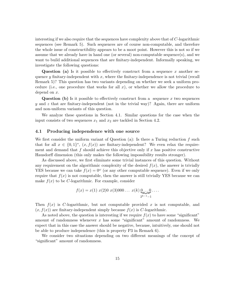interesting if we also require that the sequences have complexity above that of C-logarithmic sequences (see Remark 5). Such sequences are of course non-computable, and therefore the whole issue of constructibility appears to be a moot point. However this is not so if we assume that we already have in hand one (or several) non-computable sequence(s), and we want to build additional sequences that are finitary-independent. Informally speaking, we investigate the following questions:

Question (a) Is it possible to effectively construct from a sequence x another sequence  $\gamma$  finitary-independent with  $x$ , where the finitary-independence is not trivial (recall Remark 5)? This question has two variants depending on whether we seek a uniform procedure (i.e., one procedure that works for all  $x$ ), or whether we allow the procedure to depend on x.

**Question** (b) Is it possible to effectively construct from a sequence x two sequences y and z that are finitary-independent (not in the trivial way)? Again, there are uniform and non-uniform variants of this question.

We analyze these questions in Section 4.1. Similar questions for the case when the input consists of two sequences  $x_1$  and  $x_2$  are tackled in Section 4.2.

## 4.1 Producing independence with one source

We first consider the uniform variant of Question  $(a)$ : Is there a Turing reduction f such that for all  $x \in \{0,1\}^*$ ,  $(x, f(x))$  are finitary-independent? We even relax the requirement and demand that f should achieve this objective only if  $x$  has positive constructive Hausdorff dimension (this only makes the following impossibility results stronger).

As discussed above, we first eliminate some trivial instances of this question. Without any requirement on the algorithmic complexity of the desired  $f(x)$ , the answer is trivially YES because we can take  $f(x) = 0^{\omega}$  (or any other computable sequence). Even if we only require that  $f(x)$  is not computable, then the answer is still trivially YES because we can make  $f(x)$  to be C-logarithmic. For example, consider

$$
f(x) = x(1) \ x(2)0 \ x(3)000 \dots \ x(k) \underbrace{0 \dots 0}_{2^{k-1}-1} \dots
$$

Then  $f(x)$  is C-logarithmic, but not computable provided x is not computable, and  $(x, f(x))$  are finitary-independent simply because  $f(x)$  is C-logarithmic.

As noted above, the question is interesting if we require  $f(x)$  to have some "significant" amount of randomness whenever  $x$  has some "significant" amount of randomness. We expect that in this case the answer should be negative, because, intuitively, one should not be able to produce independence (this is property P3 in Remark 6).

We consider two situations depending on two different meanings of the concept of "significant" amount of randomness.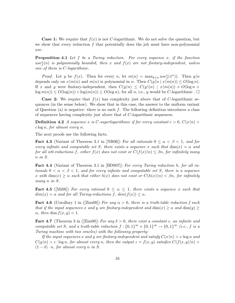**Case 1:** We require that  $f(x)$  is not *C*-logarithmic. We do not solve the question, but we show that every reduction  $f$  that potentially does the job must have non-polynomial use.

**Proposition 4.1** Let f be a Turing reduction. For every sequence x, if the function  $use_f^x(n)$  is polynomially bounded, then x and  $f(x)$  are not finitary-independent, unless one of them is C-logarithmic.

*Proof.* Let y be  $f(x)$ . Then for every n, let  $m(n) = \max_{k \leq n} use_f^{x}(1^n)$ . Then  $y \upharpoonright n$ depends only on  $x \upharpoonright m(n)$  and  $m(n)$  is polynomial in n. Then  $C(y \upharpoonright n | x \upharpoonright m(n)) \leq O(\log n)$ . If x and y were finitary-independent, then  $C(y\vert n) \leq C(y\vert(n) \vert x\vert m(n)) + O(\log n +$  $\log m(n) \leq O(\log(n)) + \log(m(n)) \leq O(\log n)$ , for all n, i.e., y would be C-logarithmic.  $\Box$ 

**Case 2:** We require that  $f(x)$  has complexity just above that of C-logarithmic sequences (in the sense below). We show that in this case, the answer to the uniform variant of Question (a) is negative: there is no such  $f$ . The following definition introduces a class of sequences having complexity just above that of C-logarithmic sequences.

**Definition 4.2** A sequence x is C-superlogarithmic if for every constant  $c > 0$ ,  $C(x \nvert n) >$  $c \log n$ , for almost every n.

The next proofs use the following facts.

**Fact 4.3** (Variant of Theorem 3.1 in [NR06]) For all rationals  $0 \le \alpha < \beta < 1$ , and for every infinite and computable set S, there exists a sequence x such that  $dim(x) = \alpha$  and for all wtt-reductions f, either  $f(x)$  does not exist or  $C(f(x)|n) \leq \beta n$ , for infinitely many n in S.

**Fact 4.4** (Variant of Theorem 3.1 in [BDS07]) For every Turing reduction h, for all rationals  $0 < \alpha < \beta < 1$ , and for every infinite and computable set S, there is a sequence x with  $\dim(x) \geq \alpha$  such that either  $h(x)$  does not exist or  $C(h(x)\upharpoonright n) < \beta n$ , for infinitely many n in S.

**Fact 4.5** ([Mi08]) For every rational  $0 \leq \alpha \leq 1$ , there exists a sequence x such that  $dim(x) = \alpha$  and for all Turing-reductions f,  $dim(f(x)) \leq \alpha$ .

**Fact 4.6** (Corollary 1 in ([Zim08]) For any  $\alpha > 0$ , there is a truth-table reduction f such that if the input sequences x and y are finitary-independent and  $\dim(x) \geq \alpha$  and  $\dim(y) \geq$  $\alpha$ , then dim  $f(x, y) = 1$ .

**Fact 4.7** (Theorem 3 in ([Zim08]) For any  $\delta > 0$ , there exist a constant c, an infinite and computable set S, and a truth-table reduction  $f: \{0,1\}^\infty \times \{0,1\}^\infty \to \{0,1\}^\infty$  (i.e., f is a Turing machine with two oracles) with the following property:

If the input sequences x and y are finitary-independent and satisfy  $C(x \nvert n) > c \cdot \log n$  and  $C(y\vert n) > c \cdot \log n$ , for almost every n, then the output  $z = f(x, y)$  satisfies  $C(f(x, y)\vert n) > c$  $(1 - \delta) \cdot n$ , for almost every n in S.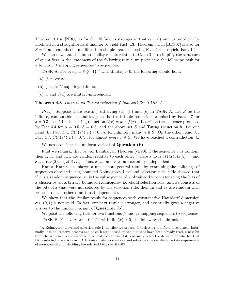Theorem 3.1 in [NR06] is for  $S = N$  (and is stronger in that  $\alpha = \beta$ ) but its proof can be modified in a straightforward manner to yield Fact 4.3. Theorem 3.1 in [BDS07] is also for  $S = N$  and can also be modified in a simple manner – using Fact 4.3 – to yield Fact 4.4.

We can now state the impossibility results related to Case 2. To simplify the structure of quantifiers in the statement of the following result, we posit here the following task for a function  $f$  mapping sequences to sequences:

TASK A: For every  $x \in \{0,1\}^{\infty}$  with  $\dim(x) > 0$ , the following should hold:

- (a)  $f(x)$  exists,
- (b)  $f(x)$  is C-superlogarithmic,
- (c) x and  $f(x)$  are finitary-independent.

Theorem 4.8 There is no Turing reduction f that satisfies TASK A.

*Proof.* Suppose there exists f satisfying (a), (b) and (c) in TASK A. Let S be the infinite, computable set and let  $q$  be the truth-table reduction promised by Fact 4.7 for  $\delta = 0.3$ . Let h be the Turing reduction  $h(x) = g(x, f(x))$ . Let  $x^*$  be the sequence promised by Fact 4.4 for  $\alpha = 0.5$ ,  $\beta = 0.6$ , and the above set S and Turing reduction h. On one hand, by Fact 4.4,  $C(h(x^*)$ <sup>n</sup> $) < 0.6n$ , for infinitely many  $n \in S$ . On the other hand, by Fact 4.7,  $C(h(x^*)\upharpoonright n) > 0.7n$ , for almost every  $n \in S$ . We have reached a contradiction.  $\Box$ 

We next consider the uniform variant of **Question** (b).

First we remark, that by van Lambalgen Theorem [vL90], if the sequence  $x$  is random, then  $x_{even}$  and  $x_{odd}$  are random relative to each other (where  $x_{odd}$  is  $x(1)x(3)x(5) \ldots$  and  $x_{even}$  is  $x(2)x(4)x(6)...$ . Thus,  $x_{even}$  and  $x_{odd}$  are certainly independent.

Kautz [Kau03] has shown a much more general result by examining the splittings of sequences obtained using bounded Kolmogorov-Loveland selection rules.<sup>1</sup> He showed that if x is a random sequence,  $x_0$  is the subsequence of x obtained by concatenating the bits of x chosen by an arbitrary bounded Kolmogorov-Loveland selection rule, and  $x_1$  consists of the bits of x that were not selected by the selection rule, then  $x_0$  and  $x_1$  are random with respect to each other (and thus independent).

We show that the similar result for sequences with constructive Hausdorff dimension  $\sigma \in (0,1)$  is not valid. In fact, our next result is stronger, and essentially gives a negative answer to the uniform variant of Question (b).

We posit the following task for two functions  $f_1$  and  $f_2$  mapping sequences to sequences: TASK B: For every  $x \in \{0,1\}^{\infty}$  with  $\dim(x) > 0$ , the following should hold:

<sup>&</sup>lt;sup>1</sup>A Kolmogorov-Loveland selection rule is an effective process for selecting bits from a sequence. Informally, it is an iterative process and at each step, based on the bits that have been already read, a new bit from the sequence is chosen to be read and (before that bit is actually read) the decision on whether that bit is selected or not is taken. A bounded Kolmogorov-Loveland selection rule satisfies a certain requirement of monotonocity for deciding the selected bits, see [Kau03].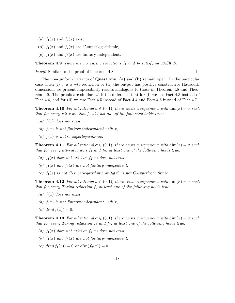- (a)  $f_1(x)$  and  $f_2(x)$  exist,
- (b)  $f_1(x)$  and  $f_2(x)$  are C-superlogarithmic,
- (c)  $f_1(x)$  and  $f_2(x)$  are finitary-independent.

**Theorem 4.9** There are no Turing reductions  $f_1$  and  $f_2$  satisfying TASK B.

*Proof.* Similar to the proof of Theorem 4.8.  $\Box$ 

The non-uniform variants of Questions (a) and (b) remain open. In the particular case when (i) f is a wtt-reduction or (ii) the output has positive constructive Hausdorff dimension, we present impossibility results analogous to those in Theorem 4.8 and Theorem 4.9. The proofs are similar, with the difference that for (i) we use Fact 4.3 instead of Fact 4.4, and for (ii) we use Fact 4.5 instead of Fact 4.4 and Fact 4.6 instead of Fact 4.7.

**Theorem 4.10** For all rational  $\sigma \in (0,1)$ , there exists a sequence x with  $\dim(x) = \sigma$  such that for every wtt-reduction  $f$ , at least one of the following holds true:

- (a)  $f(x)$  does not exist,
- (b)  $f(x)$  is not finitary-independent with x,
- (c)  $f(x)$  is not C-superlogarithmic.

**Theorem 4.11** For all rational  $\sigma \in (0,1)$ , there exists a sequence x with  $\dim(x) = \sigma$  such that for every wtt-reductions  $f_1$  and  $f_2$ , at least one of the following holds true:

- (a)  $f_1(x)$  does not exist or  $f_2(x)$  does not exist,
- (b)  $f_1(x)$  and  $f_2(x)$  are not finitary-independent,
- (c)  $f_1(x)$  is not C-superlogarithmic or  $f_2(x)$  is not C-superlogarithmic.

**Theorem 4.12** For all rational  $\sigma \in (0,1)$ , there exists a sequence x with  $\dim(x) = \sigma$  such that for every Turing-reduction  $f$ , at least one of the following holds true:

- (a)  $f(x)$  does not exist,
- (b)  $f(x)$  is not finitary-independent with x,
- (c)  $dim(f(x)) = 0$ .

**Theorem 4.13** For all rational  $\sigma \in (0,1)$ , there exists a sequence x with  $\dim(x) = \sigma$  such that for every Turing-reduction  $f_1$  and  $f_2$ , at least one of the following holds true:

- (a)  $f_1(x)$  does not exist or  $f_2(x)$  does not exist,
- (b)  $f_1(x)$  and  $f_2(x)$  are not finitary-independent,
- (c)  $\dim(f_1(x)) = 0$  or  $\dim(f_2(x)) = 0$ .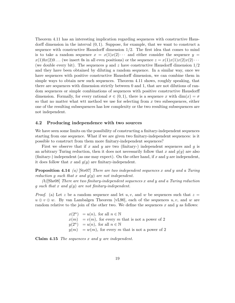Theorem 4.11 has an interesting implication regarding sequences with constructive Hausdorff dimension in the interval  $(0, 1)$ . Suppose, for example, that we want to construct a sequence with constructive Hausdorff dimension  $1/2$ . The first idea that comes to mind is to take a random sequence  $x = x(1)x(2) \cdots$  and either consider the sequence  $y =$  $x(1)0x(2)0...$  (we insert 0s in all even positions) or the sequence  $z = x(1)x(1)x(2)x(2)...$ (we double every bit). The sequences y and z have constructive Hausdorff dimension  $1/2$ and they have been obtained by diluting a random sequence. In a similar way, once we have sequences with positive constructive Hausdorff dimension, we can combine them in simple ways to obtain new such sequences. Theorem 4.11 shows, roughly speaking, that there are sequences with dimension strictly between 0 and 1, that are not dilutions of random sequences or simple combinations of sequences with positive constructive Hausdorff dimension. Formally, for every rational  $\sigma \in (0,1)$ , there is a sequence x with  $\dim(x) = \sigma$ so that no matter what wtt method we use for selecting from  $x$  two subsequences, either one of the resulting subsequences has low complexity or the two resulting subsequences are not independent.

## 4.2 Producing independence with two sources

We have seen some limits on the possibility of constructing a finitary-independent sequences starting from one sequence. What if we are given two finitary-independent sequences: is it possible to construct from them more finitary-independent sequences?

First we observe that if x and y are two (finitary-) independent sequences and g is an arbitrary Turing reduction, then it does not necessarily follow that x and  $g(y)$  are also (finitary-) independent (as one may expect). On the other hand, if x and y are independent, it does follow that x and  $g(y)$  are finitary-independent.

**Proposition 4.14** (a)  $\left[\text{Ste07}\right]$  There are two independent sequences x and y and a Turing reduction g such that x and  $g(y)$  are not independent.

(b)[She08] There are two finitary-independent sequences x and y and a Turing reduction g such that x and  $g(y)$  are not finitary-independent.

*Proof.* (a) Let z be a random sequence and let u, v, and w be sequences such that  $z =$  $u \oplus v \oplus w$ . By van Lambalgen Theorem [vL90], each of the sequences  $u, v$ , and w are random relative to the join of the other two. We define the sequences x and  $y$  as follows:

> $x(2^n) = u(n)$ , for all  $n \in \mathbb{N}$  $x(m) = v(m)$ , for every m that is not a power of 2  $y(2^n)$  $u(n)$ , for all  $n \in \mathbb{N}$  $y(m) = w(m)$ , for every m that is not a power of 2

**Claim 4.15** The sequences x and y are independent.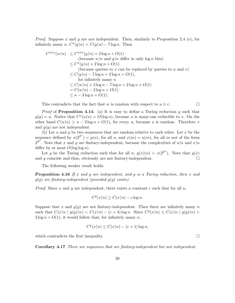*Proof.* Suppose x and y are not independent. Then, similarly to Proposition 2.4 (e), for infinitely many  $n, C^x(y \mid n) < C(y \mid n) - 7 \log n$ . Then

$$
C^{u \oplus v}(w \nvert n) \leq C^{u \oplus v}(y \nvert n) + 2 \log n + O(1)
$$
\n(because  $w \nvert n$  and  $y \nvert n$  differ in only log *n* bits)\n $\leq C^{x}(y \nvert n) + 2 \log n + O(1)$ \n(because queries to *x* can be replaced by queries to *u* and *v*)\n $\leq C(y \nvert n) - 7 \log n + 2 \log n + O(1),$ \nfor infinitely many *n*\n $\leq C(w \nvert n) + 2 \log n - 7 \log n + 2 \log n + O(1)$ \n $= C(w \nvert n) - 2 \log n + O(1)$ \n $\leq n - 3 \log n + O(1).$ 

This contradicts that the fact that w is random with respect to  $u \oplus v$ .

*Proof* of **Proposition 4.14**. (a) It is easy to define a Turing reduction g such that  $g(y) = u$ . Notice that  $C^{x}(u|n) = O(\log n)$ , because u is many-one reducible to x. On the other hand  $C(u\upharpoonright n) \geq n-2\log n + O(1)$ , for every n, because u is random. Therefore x and  $q(y)$  are not independent.

(b) Let  $u$  and  $y$  be two sequences that are random relative to each other. Let  $x$  be the sequence defined by  $x(2^{2^n}) = y(n)$ , for all n, and  $x(m) = u(m)$ , for all m not of the form  $2^{2^n}$ . Note that x and y are finitary-independent, because the complexities of  $u \nvert n$  and  $x \nvert n$ differ by at most  $O(\log \log n)$ .

Let g be the Turing reduction such that for all  $n, g(x)(n) = x(2^{2^n})$ . Note that  $g(x)$ and  $\gamma$  coincide and thus, obviously are not finitary-independent.

The following weaker result holds.

**Proposition 4.16** If x and y are independent, and q is a Turing reduction, then x and  $q(y)$  are finitary-independent (provided  $q(y)$  exists).

*Proof.* Since x and y are independent, there exists a constant c such that for all n,

$$
C^{y}(x\mathord{\restriction} n) \geq C(x\mathord{\restriction} n) - c \log n.
$$

Suppose that x and  $g(y)$  are not finitary-independent. Then there are infinitely many n such that  $C(x\lfloor n \rfloor g(y)\lfloor n) < C(x\lfloor n \rfloor - (c+4)\log n$ . Since  $C^y(x\lfloor n \rfloor \leq C(x\lfloor n \rfloor g(y)\lfloor n) +$  $2 \log n + O(1)$ , it would follow that, for infinitely many n,

$$
C^{y}(x\mathord{\restriction} n) \leq C(x\mathord{\restriction} n) - (c+1)\log n,
$$

which contradicts the first inequality.

Corollary 4.17 There are sequences that are finitary-independent but not independent.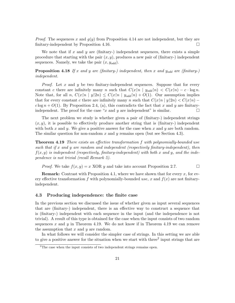*Proof.* The sequences x and  $q(y)$  from Proposition 4.14 are not independent, but they are finitary-independent by Proposition 4.16.

We note that if x and y are (finitary-) independent sequences, there exists a simple procedure that starting with the pair  $(x, y)$ , produces a new pair of (finitary-) independent sequences. Namely, we take the pair  $(x, y_{odd})$ .

**Proposition 4.18** If x and y are (finitary-) independent, then x and  $y_{odd}$  are (finitary-) independent.

*Proof.* Let x and y be two finitary-independent sequences. Suppose that for every constant c there are infinitely many n such that  $C(x \nvert n \mid y_{odd} \nvert n) < C(x \nvert n) - c \cdot \log n$ . Note that, for all n,  $C(x[n | y|2n) \leq C(x[n | y_{odd}]) + O(1)$ . Our assumption implies that for every constant c there are infinitely many n such that  $C(x\mid n \mid y\mid 2n) < C(x\mid n)$  –  $c \log n + O(1)$ . By Proposition 2.4, (a), this contradicts the fact that x and y are finitaryindependent. The proof for the case "x and y are independent" is similar.

The next problem we study is whether given a pair of (finitary-) independent strings  $(x, y)$ , it is possible to effectively produce another string that is (finitary-) independent with both x and y. We give a positive answer for the case when x and y are both random. The similar question for non-random x and y remains open (but see Section 4.3).

Theorem 4.19 There exists an effective transformation f with polynomially-bounded use such that if  $x$  and  $y$  are random and independent (respectively finitary-independent), then  $f(x, y)$  is independent (respectively, finitary-independent) with both x and y, and the independence is not trivial (recall Remark 5).

*Proof.* We take  $f(x, y) = x$  XOR y and take into account Proposition 2.7.

**Remark:** Contrast with Proposition 4.1, where we have shown that for every  $x$ , for every effective transformation f with polynomially-bounded use, x and  $f(x)$  are not finitaryindependent.

## 4.3 Producing independence: the finite case

In the previous section we discussed the issue of whether given as input several sequences that are (finitary-) independent, there is an effective way to construct a sequence that is (finitary-) independent with each sequence in the input (and the independence is not trivial). A result of this type is obtained for the case when the input consists of two random sequences x and y in Theorem 4.19. We do not know if in Theorem 4.19 we can remove the assumption that  $x$  and  $y$  are random.

In what follows we will consider the simpler case of strings. In this setting we are able to give a positive answer for the situation when we start with three<sup>2</sup> input strings that are

 $2$ The case when the input consists of two independent strings remains open.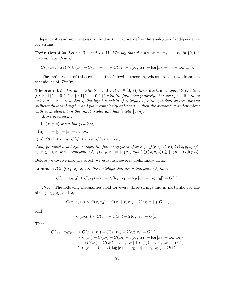independent (and not necessarily random). First we define the analogue of independence for strings.

**Definition 4.20** Let  $c \in \mathbb{R}^+$  and  $k \in \mathbb{N}$ . We say that the strings  $x_1, x_2, \ldots, x_k$  in  $\{0,1\}^*$ are c-independent if

$$
C(x_1x_2...x_k) \geq C(x_1) + C(x_2) + ... + C(x_k) - c(\log|x_1| + \log|x_2| + ... + \log|x_k|).
$$

The main result of this section is the following theorem, whose proof draws from the techniques of [Zim08].

**Theorem 4.21** For all constants  $\sigma > 0$  and  $\sigma_1 \in (0, \sigma)$ , there exists a computable function  $f: \{0,1\}^* \times \{0,1\}^* \times \{0,1\}^* \to \{0,1\}^*$  with the following property: For every  $c \in \mathbb{R}^+$  there exists  $c' \in \mathbb{R}^+$  such that if the input consists of a triplet of c-independent strings having sufficiently large length n and plain complexity at least  $\sigma \cdot n$ , then the output is  $c'$ -independent with each element in the input triplet and has length  $|\sigma_1 n|$ .

More precisely, if

- (i)  $(x, y, z)$  are c-independent,
- (ii)  $|x| = |y| = |z| = n$ , and
- (iii)  $C(x) \geq \sigma \cdot n$ ,  $C(y) \geq \sigma \cdot n$ ,  $C(z) \geq \sigma \cdot n$ ,

then, provided n is large enough, the following pairs of strings  $(f(x, y, z), x)$ ,  $(f(x, y, z), y)$ ,  $(f(x, y, z), z)$  are c'-independent,  $|f(x, y, z)| = \lfloor \sigma_1 n \rfloor$ , and  $C(f(x, y, z)) \geq \lfloor \sigma_1 n \rfloor - O(\log n)$ .

Before we dwelve into the proof, we establish several preliminary facts.

**Lemma 4.22** If  $x_1, x_2, x_3$  are three strings that are c-independent, then

$$
C(x_1 | x_2 x_3) \ge C(x_1) - (c+2)(\log|x_1| + \log|x_2| + \log|x_3|) - O(1).
$$

Proof. The following inequalities hold for every three strings and in particular for the strings  $x_1$ ,  $x_2$ , and  $x_3$ :

$$
C(x_1x_2x_3) \le C(x_2x_3) + C(x_1 | x_2x_3) + 2\log|x_1| + O(1),
$$

and

$$
C(x_2x_3) \le C(x_2) + C(x_3) + 2\log|x_2| + O(1).
$$

Then

$$
C(x_1 | x_2x_3) \geq C(x_1x_2x_3) - C(x_2x_3) - 2\log|x_1| - O(1)
$$
  
\n
$$
\geq C(x_1) + C(x_2) + C(x_3) - c(\log|x_1| + \log|x_2| + \log|x_3|)
$$
  
\n
$$
- (C(x_2) + C(x_3) + 2\log|x_2| + O(1)) - 2\log|x_1| - O(1)
$$
  
\n
$$
\geq C(x_1) - (c+2)(\log|x_1| + \log|x_2| + \log|x_3|) - O(1).
$$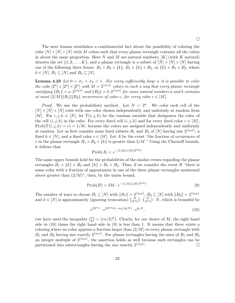The next lemma establishes a combinatorial fact about the possibility of coloring the cube  $[N] \times [N] \times [N]$  with M colors such that every planar rectangle contains all the colors in about the same proportion. Here N and M are natural numbers,  $[K]$  (with K natural) denotes the set  $\{1, 2, \ldots, K\}$ , and a planar rectangle is a subset of  $[N] \times [N] \times [N]$  having one of the following three forms:  $B_1 \times B_2 \times \{k\}$ ,  $B_1 \times \{k\} \times B_2$ , or  $\{k\} \times B_1 \times B_2$ , where  $k \in [N], B_1 \subseteq [N]$  and  $B_2 \subseteq [N]$ .

**Lemma 4.23** Let  $0 < \sigma_1 < \sigma_2 < 1$ . For every sufficiently large n it is possible to color the cube  $[2^n] \times [2^n] \times [2^n]$  with  $M = 2^{\lfloor \sigma_1 n \rfloor}$  colors in such a way that every planar rectangle satisfying  $||B_1|| = a \cdot 2^{\lceil \sigma_2 n \rceil}$  and  $||B_2|| = b \cdot 2^{\lceil \sigma_2 n \rceil}$  for some natural numbers a and b contains at most  $(2/M)\|B_1\|\|B_2\|$  occurrences of color c, for every color  $c \in [M]$ .

*Proof.* We use the probabilistic method. Let  $N = 2<sup>n</sup>$ . We color each cell of the  $[N] \times [N]$  cube with one color chosen independently and uniformly at random from [M]. For  $i, j, k \in [N]$ , let  $T(i, j, k)$  be the random variable that designates the color of the cell  $(i, j, k)$  in the cube. For every fixed cell  $(i, j, k)$  and for every fixed color  $c \in [M]$ ,  $Prob(T(i, j, k) = c) = 1/M$ , because the colors are assigned independently and uniformly at random. Let us first consider some fixed subsets  $B_1$  and  $B_2$  of  $[N]$  having size  $2^{\lceil \sigma_2 n \rceil}$ , a fixed  $k \in [N]$ , and a fixed color  $c \in [M]$ . Let A be the event "the fraction of occurences of c in the planar rectangle  $B_1 \times B_2 \times \{k\}$  is greater than  $2/M$ ." Using the Chernoff bounds, it follows that

$$
Prob(A) < e^{-(1/3)(1/M)N^{2\sigma_2}}.
$$

The same upper bounds hold for the probabilities of the similar events regarding the planar rectangles  $B_1 \times \{k\} \times B_2$  and  $\{k\} \times B_1 \times B_2$ . Thus, if we consider the event B "there is some color with a fraction of appearances in one of the three planar rectangles mentioned above greater than  $(2/M)$ ", then, by the union bound,

$$
\text{Prob}(B) < 3M \cdot e^{-(1/3)(1/M)N^{2\sigma_2}}.\tag{9}
$$

The number of ways to choose  $B_1 \subseteq [N]$  with  $||B_1|| = 2^{\lceil \sigma_2 n \rceil}$ ,  $B_2 \subseteq [N]$  with  $||B_2|| = 2^{\lceil \sigma_2 n \rceil}$ and  $k \in [N]$  is approximately (ignoring truncation)  $\binom{N}{N^{\sigma_2}} \cdot \binom{N}{N^{\sigma_2}} \cdot N$ , which is bounded by

$$
e^{2N^{\sigma_2}} \cdot e^{2N^{\sigma_2}(1-\sigma_2)\ln(N)} \cdot e^{\ln N}, \tag{10}
$$

(we have used the inequality  $\binom{n}{k}$  ${k \choose k} < (en/k)^k$ ). Clearly, for our choice of M, the right hand side in  $(10)$  times the right hand side in  $(9)$  is less than 1. It means that there exists a coloring where no color appears a fraction larger than  $(2/M)$  in every planar rectangle with  $B_1$  and  $B_2$  having size exactly  $2^{\lceil \sigma_2 n \rceil}$ . For planar rectangles having the sizes of  $B_1$  and  $B_2$ an integer multiple of  $2^{\lceil \sigma_2 n \rceil}$ , the assertion holds as well because such rectangles can be partitioned into subrectangles having the size exactly  $2^{\lceil \sigma_2 n \rceil}$ . . — Первый процесс в постановки программа в серверном становки производительно становки производительно станов<br>В серверном становки производительно становки производительно становки производительно становки производительн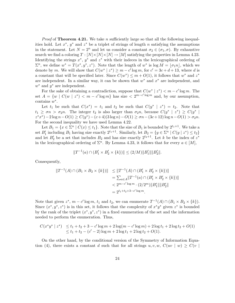*Proof* of **Theorem 4.21.** We take n sufficiently large so that all the following inequalities hold. Let  $x^*$ ,  $y^*$  and  $z^*$  be a triplet of strings of length n satisfying the assumptions in the statement. Let  $N = 2^n$  and let us consider a constant  $\sigma_2 \in (\sigma_1, \sigma)$ . By exhaustive search we find a coloring  $T : [N] \times [N] \times [N] \rightarrow [M]$  satisfying the properties in Lemma 4.23. Identifying the strings  $x^*$ ,  $y^*$  and  $z^*$  with their indeces in the lexicographical ordering of  $\Sigma^n$ , we define  $w^* = T(x^*, y^*, z^*)$ . Note that the length of  $w^*$  is  $\log M = [\sigma_1 n]$ , which we denote by m. We will show that  $C(w^* | z^*) \geq m - c' \log m$ , for  $c' = 3c + d + 13$ , where d is a constant that will be specified later. Since  $C(w^*) \leq m + O(1)$ , it follows that  $w^*$  and  $z^*$ are independent. In a similar way, it can be shown that  $w^*$  and  $x^*$  are independent, and  $w^*$  and  $y^*$  are independent.

For the sake of obtaining a contradiction, suppose that  $C(w^* | z^*) < m - c' \log m$ . The set  $A = \{w \mid C(w \mid z^*) < m - c' \log m\}$  has size  $\lt 2^{m-c' \log m}$  and, by our assumption,  $\text{contains } w^*$ .

Let  $t_1$  be such that  $C(x^*) = t_1$  and  $t_2$  be such that  $C(y^* | z^*) = t_2$ . Note that  $t_1 \geq \sigma n > \sigma_2 n$ . The integer  $t_2$  is also larger than  $\sigma_2 n$ , because  $C(y^* | z^*) \geq C(y^* | z^*)$  $z^*x^*$ ) – 2 log  $n - O(1) \ge C(y^*) - (c+4)(3 \log n) - O(1) \ge \sigma n - (3c+12) \log n - O(1) > \sigma_2 n$ . For the second inequality we have used Lemma 4.22.

Let  $B_1 = \{x \in \Sigma^n \mid C(x) \le t_1\}$ . Note that the size of  $B_1$  is bounded by  $2^{t_1+1}$ . We take a set  $B'_1$  including  $B_1$  having size exactly  $2^{t_1+1}$ . Similarly, let  $B_2 = \{y \in \Sigma^n \mid C(y \mid z^*) \le t_2\}$ and let  $B'_2$  be a set that includes  $B_2$  and has size exactly  $2^{t_2+1}$ . Let k be the index of  $z^*$ in the lexicographical ordering of  $\Sigma<sup>n</sup>$ . By Lemma 4.23, it follows that for every  $a \in [M]$ ,

$$
||T^{-1}(a) \cap (B'_1 \times B'_2 \times \{k\})|| \le (2/M) ||B'_1|| ||B'_2||.
$$

Consequently,

$$
||T^{-1}(A) \cap (B_1 \times B_2 \times \{k\})|| \le ||T^{-1}(A) \cap (B'_1 \times B'_2 \times \{k\})||
$$
  
=  $\sum_{a \in A} ||T^{-1}(a) \cap (B'_1 \times B'_2 \times \{k\})||$   
<  $\langle 2^{m-c'} \log m \cdot (2/2^m) ||B'_1|| ||B'_2||$   
=  $2^{t_1+t_2+3-c'} \log m$ .

Note that given  $z^*$ ,  $m - c' \log m$ ,  $t_1$  and  $t_2$ , we can enumerate  $T^{-1}(A) \cap (B_1 \times B_2 \times \{k\})$ . Since  $(x^*, y^*, z^*)$  is in this set, it follows that the complexity of  $x^*y^*$  given  $z^*$  is bounded by the rank of the triplet  $(x^*, y^*, z^*)$  in a fixed enumeration of the set and the information needed to perform the enumeration. Thus,

$$
C(x^*y^* \mid z^*) \leq t_1 + t_2 + 3 - c' \log m + 2 \log(m - c' \log m) + 2 \log t_1 + 2 \log t_2 + O(1)
$$
  
 
$$
\leq t_1 + t_2 - (c' - 2) \log m + 2 \log t_1 + 2 \log t_2 + O(1).
$$

On the other hand, by the conditional version of the Symmetry of Information Equation (4), there exists a constant d such that for all strings  $u, v, w, C(uv \mid w) \geq C(v \mid w)$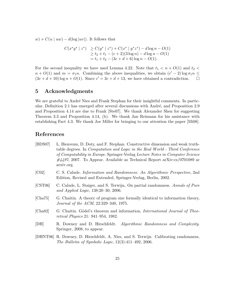$w) + C(u \mid uw) - d(\log |uv|)$ . It follows that

$$
C(x^*y^* \mid z^*) \geq C(y^* \mid z^*) + C(x^* \mid y^*z^*) - d\log n - O(1)
$$
  
\n
$$
\geq t_2 + t_1 - (c+2)(3\log n) - d\log n - O(1)
$$
  
\n
$$
= t_1 + t_2 - (3c + d + 6)\log n - O(1).
$$

For the second inequality we have used Lemma 4.22. Note that  $t_1 < n + O(1)$  and  $t_2 <$  $n + O(1)$  and  $m = \sigma_1 n$ . Combining the above inequalities, we obtain  $(c' - 2) \log \sigma_1 n \leq$  $(3c + d + 10) \log n + O(1)$ . Since  $c' = 3c + d + 13$ , we have obtained a contradiction.  $\square$ 

# 5 Acknowledgments

We are grateful to André Nies and Frank Stephan for their insightful comments. In particular, Definition 2.1 has emerged after several discussions with André, and Proposition 2.9 and Proposition 4.14 are due to Frank [Ste07]. We thank Alexander Shen for suggesting Theorem 3.3 and Proposition 4.14, (b). We thank Jan Reimann for his assistance with establishing Fact 4.3. We thank Joe Miller for bringing to our attention the paper [Mi08].

# References

- [BDS07] L. Bienvenu, D. Doty, and F. Stephan. Constructive dimension and weak truthtable degrees. In Computation and Logic in the Real World - Third Conference of Computability in Europe. Springer-Verlag Lecture Notes in Computer Science  $\#4497$ , 2007. To Appear. Available as Technical Report arXiv:cs/0701089 ar arxiv.org.
- [C02] C. S. Calude. Information and Randomness: An Algorithmic Perspective, 2nd Edition, Revised and Extended, Springer-Verlag, Berlin, 2002.
- [CST06] C. Calude, L. Staiger, and S. Terwijn, On partial randomness. Annals of Pure and Applied Logic, 138:20–30, 2006.
- [Cha75] G. Chaitin. A theory of program size formally identical to information theory, Journal of the ACM, 22:329–340, 1975.
- [Cha82] G. Chaitin. Gödel's theorem and information, *International Journal of Theo*retical Physics 21: 941–954, 1982.
- [DH] R. Downey and D. Hirschfeldt. Algorithmic Randomness and Complexity. Springer, 2008, to appear.
- [DHNT06] R. Downey, D. Hirschfeldt, A. Nies, and S. Terwijn. Calibrating randomness, The Bulletin of Symbolic Logic, 12(3):411–492, 2006.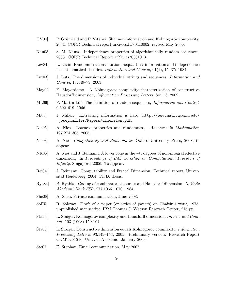- [GV04] P. Grünwald and P. Vitanyi. Shannon information and Kolmogorov complexity, 2004. CORR Technical report arxiv:cs.IT/0410002, revised May 2006.
- [Kau03] S. M. Kautz. Independence properties of algorithmically random sequences, 2003. CORR Technical Report arXiv:cs/0301013.
- [Lev84] L. Levin. Randomness conservation inequalities: information and independence in mathematical theories. Information and Control, 61(1), 15–37: 1984.
- [Lut03] J. Lutz. The dimensions of individual strings and sequences, *Information and* Control, 187:49–79, 2003.
- [May02] E. Mayordomo. A Kolmogorov complexity characterization of constructive Hausdorff dimension, Information Processing Letters, 84:1–3, 2002.
- [ML66] P. Martin-Löf. The definition of random sequences, *Information and Control*, 9:602–619, 1966.
- [Mi08] J. Miller. Extracting information is hard, http://www.math.uconn.edu/ ~josephmiller/Papers/dimension.pdf.
- [Nie05] A. Nies. Lowness properties and randomness, Advances in Mathematics, 197:274–305, 2005.
- [Nie08] A. Nies. Computability and Randomness. Oxford University Press, 2008, to appear.
- [NR06] A. Nies and J. Reimann. A lower cone in the wtt degrees of non-integral effective dimension, In Proceedings of IMS workshop on Computational Prospects of Infinity, Singapore, 2006. To appear.
- [Rei04] J. Reimann. Computability and Fractal Dimension, Technical report, Universität Heidelberg, 2004. Ph.D. thesis.
- [Rya84] B. Ryabko. Coding of combinatorial sources and Hausdorff dimension, Doklady Akademii Nauk SSR, 277:1066–1070, 1984.
- [She08] A. Shen. Private communication, June 2008.
- [Sol75] R. Solovay. Draft of a paper (or series of papers) on Chaitin's work, 1975. unpublished manuscript, IBM Thomas J. Watson Reserach Center, 215 pp.
- [Sta93] L. Staiger. Kolmogorov complexity and Hausdorff dimension, Inform. and Comput. 103 (1993) 159-194.
- [Sta05] L. Staiger. Constructive dimension equals Kolmogorov complexity, Information Processing Letters, 93:149–153, 2005. Preliminary version: Research Report CDMTCS-210, Univ. of Auckland, January 2003.
- [Ste07] F. Stephan. Email communication, May 2007.